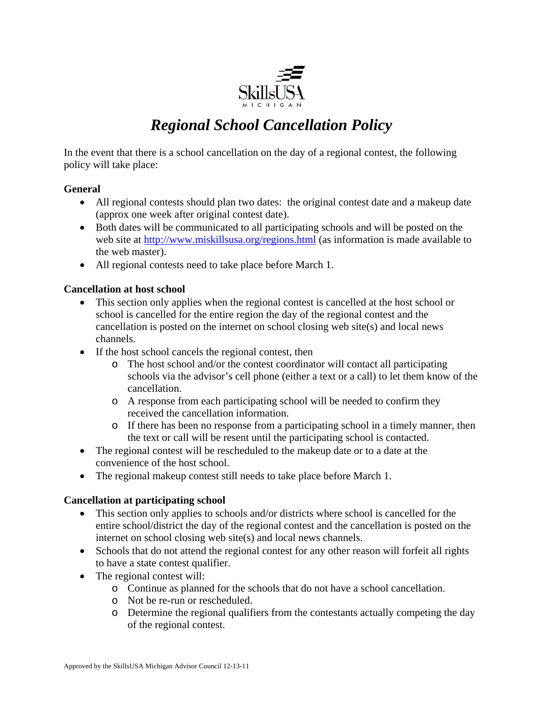

## *Regional School Cancellation Policy*

In the event that there is a school cancellation on the day of a regional contest, the following policy will take place:

## **General**

- All regional contests should plan two dates: the original contest date and a makeup date (approx one week after original contest date).
- Both dates will be communicated to all participating schools and will be posted on the web site at http://www.miskillsusa.org/regions.html (as information is made available to the web master).
- All regional contests need to take place before March 1.

## **Cancellation at host school**

- This section only applies when the regional contest is cancelled at the host school or school is cancelled for the entire region the day of the regional contest and the cancellation is posted on the internet on school closing web site(s) and local news channels.
- If the host school cancels the regional contest, then
	- o The host school and/or the contest coordinator will contact all participating schools via the advisor's cell phone (either a text or a call) to let them know of the cancellation.
	- o A response from each participating school will be needed to confirm they received the cancellation information.
	- o If there has been no response from a participating school in a timely manner, then the text or call will be resent until the participating school is contacted.
- The regional contest will be rescheduled to the makeup date or to a date at the convenience of the host school.
- The regional makeup contest still needs to take place before March 1.

## **Cancellation at participating school**

- This section only applies to schools and/or districts where school is cancelled for the entire school/district the day of the regional contest and the cancellation is posted on the internet on school closing web site(s) and local news channels.
- Schools that do not attend the regional contest for any other reason will forfeit all rights to have a state contest qualifier.
- The regional contest will:
	- o Continue as planned for the schools that do not have a school cancellation.
	- o Not be re-run or rescheduled.
	- o Determine the regional qualifiers from the contestants actually competing the day of the regional contest.